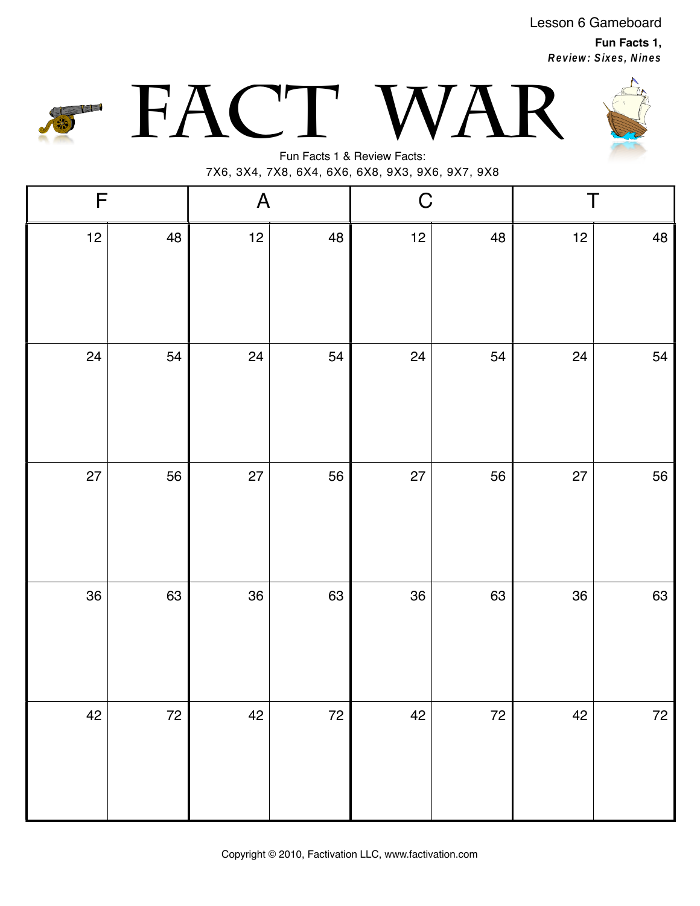Lesson 6 Gameboard

**Fun Facts 1, Review: Sixes, Nines**







Fun Facts 1 & Review Facts: 7X6, 3X4, 7X8, 6X4, 6X6, 6X8, 9X3, 9X6, 9X7, 9X8

| $\mathsf F$ |      | $\boldsymbol{\mathsf{A}}$ |      | $\mathsf C$ |    | Τ  |          |
|-------------|------|---------------------------|------|-------------|----|----|----------|
| 12          | 48   | 12                        | 48   | 12          | 48 | 12 | $\bf 48$ |
| 24          | 54   | 24                        | 54   | 24          | 54 | 24 | 54       |
| 27          | 56   | 27                        | 56   | 27          | 56 | 27 | 56       |
| 36          | 63   | 36                        | 63   | 36          | 63 | 36 | 63       |
| 42          | $72$ | 42                        | $72$ | 42          | 72 | 42 | $72$     |